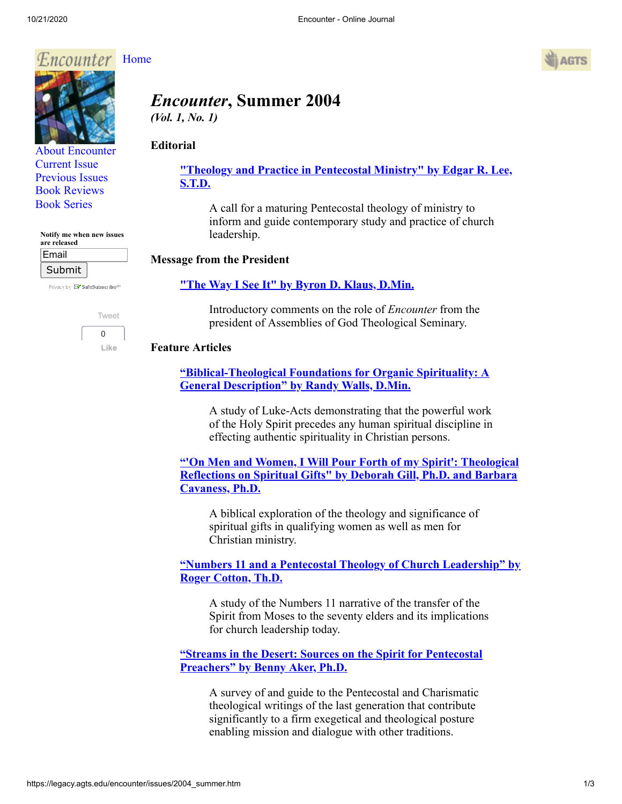

[About Encounter](http://legacy.agts.edu/encounter/about.html) [Current Issue](http://legacy.agts.edu/encounter/current.html) [Previous Issues](http://legacy.agts.edu/encounter/previous.html) [Book Reviews](http://legacy.agts.edu/encounter/book_reviews.html) [Book Series](http://legacy.agts.edu/encounter/resources.html)

**Notify me when new issues**

Privacy by **EV** SafeSubscribe<sup>sM</sup>

[Tweet](https://twitter.com/intent/tweet?original_referer=https%3A%2F%2Flegacy.agts.edu%2F&ref_src=twsrc%5Etfw&related=anywhereTheJavascriptAPI&text=Encounter%20-%20Online%20Journal&tw_p=tweetbutton&url=http%3A%2F%2Flegacy.agts.edu%2Fencounter%2Fbook_reviews%2F2012summer%2Freview_au.html&via=AGTSTweets)  $\Omega$ **Like**

**are released** Email Submit



# *Encounter***, Summer 2004**  *(Vol. 1, No. 1)*

# **Editorial**

**["Theology and Practice in Pentecostal Ministry" by Edgar R. Lee,](https://legacy.agts.edu/encounter/articles/2004_summer/lee.htm) S.T.D.**

A call for a maturing Pentecostal theology of ministry to inform and guide contemporary study and practice of church leadership.

#### **Message from the President**

## **["The Way I See It" by Byron D. Klaus, D.Min.](https://legacy.agts.edu/encounter/articles/2004_summer/klaus.htm)**

Introductory comments on the role of *Encounter* from the president of Assemblies of God Theological Seminary.

#### **Feature Articles**

**["Biblical-Theological Foundations for Organic Spirituality: A](https://legacy.agts.edu/encounter/articles/2004_summer/walls.htm) General Description" by Randy Walls, D.Min.**

A study of Luke-Acts demonstrating that the powerful work of the Holy Spirit precedes any human spiritual discipline in effecting authentic spirituality in Christian persons.

**["'On Men and Women, I Will Pour Forth of my Spirit': Theological](https://legacy.agts.edu/encounter/articles/2004_summer/cavaness_gill.htm) Reflections on Spiritual Gifts" by Deborah Gill, Ph.D. and Barbara Cavaness, Ph.D.**

A biblical exploration of the theology and significance of spiritual gifts in qualifying women as well as men for Christian ministry.

# **["Numbers 11 and a Pentecostal Theology of Church Leadership" by](https://legacy.agts.edu/encounter/articles/2004_summer/cotton.htm) Roger Cotton, Th.D.**

A study of the Numbers 11 narrative of the transfer of the Spirit from Moses to the seventy elders and its implications for church leadership today.

**["Streams in the Desert: Sources on the Spirit for Pentecostal](https://legacy.agts.edu/encounter/articles/2004_summer/aker.htm) Preachers" by Benny Aker, Ph.D.**

A survey of and guide to the Pentecostal and Charismatic theological writings of the last generation that contribute significantly to a firm exegetical and theological posture enabling mission and dialogue with other traditions.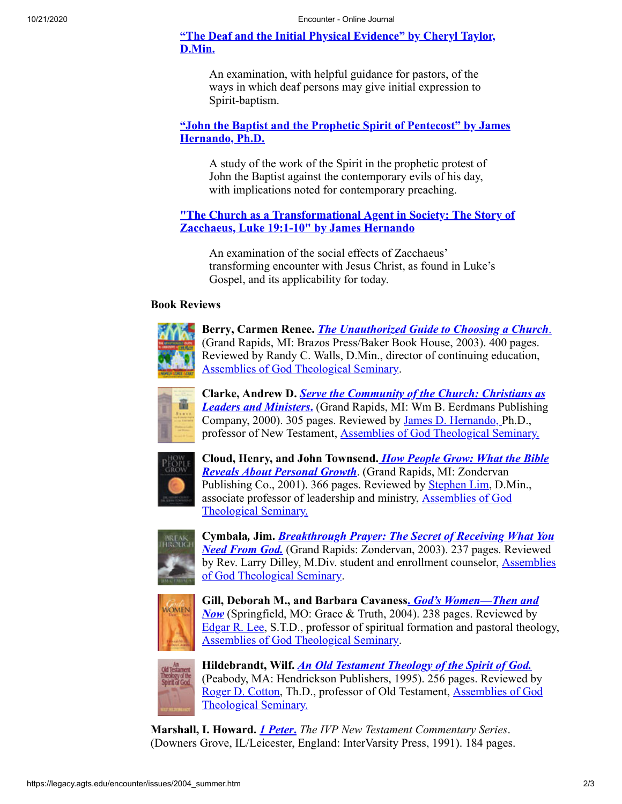# **["The Deaf and the Initial Physical Evidence" by Cheryl Taylor,](https://legacy.agts.edu/encounter/articles/2004_summer/taylor.htm) D.Min.**

An examination, with helpful guidance for pastors, of the ways in which deaf persons may give initial expression to Spirit-baptism.

## **["John the Baptist and the Prophetic Spirit of Pentecost" by James](https://legacy.agts.edu/encounter/articles/2004_summer/hernando.htm) Hernando, Ph.D.**

A study of the work of the Spirit in the prophetic protest of John the Baptist against the contemporary evils of his day, with implications noted for contemporary preaching.

# **["The Church as a Transformational Agent in Society: The Story of](https://legacy.agts.edu/encounter/articles/2004_summer/hernando_zaccheus.htm) Zacchaeus, Luke 19:1-10" by James Hernando**

An examination of the social effects of Zacchaeus' transforming encounter with Jesus Christ, as found in Luke's Gospel, and its applicability for today.

## **Book Reviews**



**Berry, Carmen Renee.** *[The Unauthorized Guide to Choosing a Church](https://legacy.agts.edu/encounter/book_reviews/2004_summer/berry.htm)*[.](https://legacy.agts.edu/encounter/book_reviews/2004_summer/berry.htm) (Grand Rapids, MI: Brazos Press/Baker Book House, 2003). 400 pages. Reviewed by Randy C. Walls, D.Min., director of continuing education, [Assemblies of God Theological Seminary](http://legacy.agts.edu/).



**Clarke, Andrew D.** *[Serve the Community of the Church: Christians as](https://legacy.agts.edu/encounter/book_reviews/2004_summer/clarke.htm) Leaders and Ministers***.** (Grand Rapids, MI: Wm B. Eerdmans Publishing Company, 2000). 305 pages. Reviewed by [James D. Hernando,](http://legacy.agts.edu/faculty/hernando.html) Ph.D., professor of New Testament, [Assemblies of God Theological Seminary.](http://legacy.agts.edu/)



**[Cloud, Henry, and John Townsend.](https://legacy.agts.edu/encounter/book_reviews/2004_summer/cloud.htm)** *How People Grow: What the Bible Reveals About Personal Growth*. (Grand Rapids, MI: Zondervan Publishing Co., 2001). 366 pages. Reviewed by [Stephen Lim](http://legacy.agts.edu/faculty/lim.html), D.Min., [associate professor of leadership and ministry, Assemblies of God](http://legacy.agts.edu/) Theological Seminary.



**Cymbala***,* **Jim.** *[Breakthrough Prayer: The Secret of Receiving What You](https://legacy.agts.edu/encounter/book_reviews/2004_summer/cymbala.htm) Need From God.* (Grand Rapids: Zondervan, 2003). 237 pages. Reviewed [by Rev. Larry Dilley, M.Div. student and enrollment counselor, Assemblies](http://legacy.agts.edu/) of God Theological Seminary.



**Gill, Deborah M., and Barbara Cavaness.** *God's Women—Then and Now* [\(Springfield, MO: Grace & Truth, 2004\). 238 pages. Reviewed by](https://legacy.agts.edu/encounter/book_reviews/2004_summer/cavaness_gill.htm) [Edgar R. Lee](http://legacy.agts.edu/faculty/lee.html), S.T.D., professor of spiritual formation and pastoral theology, [Assemblies of God Theological Seminary](http://legacy.agts.edu/index.html).



**Hildebrandt, Wilf.** *[An Old Testament Theology of the Spirit of God.](https://legacy.agts.edu/encounter/book_reviews/2004_summer/hildebrandt.htm)* (Peabody, MA: Hendrickson Publishers, 1995). 256 pages. Reviewed by [Roger D. Cotton, Th.D., professor of Old Testament, Assemblies of God](http://legacy.agts.edu/) Theological Seminary.

**Marshall, I. Howard.** *[1 Peter](https://legacy.agts.edu/encounter/book_reviews/2004_summer/marshall.htm)***.** *The IVP New Testament Commentary Series*. (Downers Grove, IL/Leicester, England: InterVarsity Press, 1991). 184 pages.